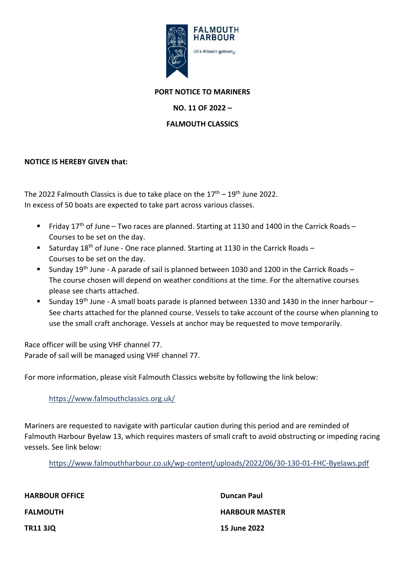

### **PORT NOTICE TO MARINERS**

# **NO. 11 OF 2022 –**

## **FALMOUTH CLASSICS**

## **NOTICE IS HEREBY GIVEN that:**

The 2022 Falmouth Classics is due to take place on the  $17<sup>th</sup> - 19<sup>th</sup>$  June 2022. In excess of 50 boats are expected to take part across various classes.

- Friday 17<sup>th</sup> of June Two races are planned. Starting at 1130 and 1400 in the Carrick Roads Courses to be set on the day.
- Saturday 18<sup>th</sup> of June One race planned. Starting at 1130 in the Carrick Roads Courses to be set on the day.
- Sunday 19<sup>th</sup> June A parade of sail is planned between 1030 and 1200 in the Carrick Roads The course chosen will depend on weather conditions at the time. For the alternative courses please see charts attached.
- Sunday 19<sup>th</sup> June A small boats parade is planned between 1330 and 1430 in the inner harbour See charts attached for the planned course. Vessels to take account of the course when planning to use the small craft anchorage. Vessels at anchor may be requested to move temporarily.

Race officer will be using VHF channel 77. Parade of sail will be managed using VHF channel 77.

For more information, please visit Falmouth Classics website by following the link below:

### <https://www.falmouthclassics.org.uk/>

Mariners are requested to navigate with particular caution during this period and are reminded of Falmouth Harbour Byelaw 13, which requires masters of small craft to avoid obstructing or impeding racing vessels. See link below:

<https://www.falmouthharbour.co.uk/wp-content/uploads/2022/06/30-130-01-FHC-Byelaws.pdf>

| <b>HARBOUR OFFICE</b> | <b>Duncan Paul</b>    |
|-----------------------|-----------------------|
| <b>FALMOUTH</b>       | <b>HARBOUR MASTER</b> |
| <b>TR11 3JQ</b>       | <b>15 June 2022</b>   |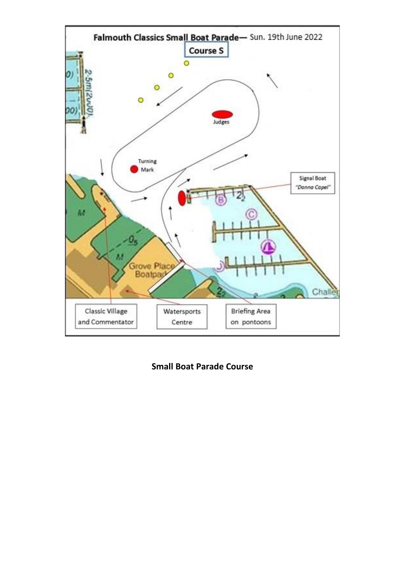

**Small Boat Parade Course**